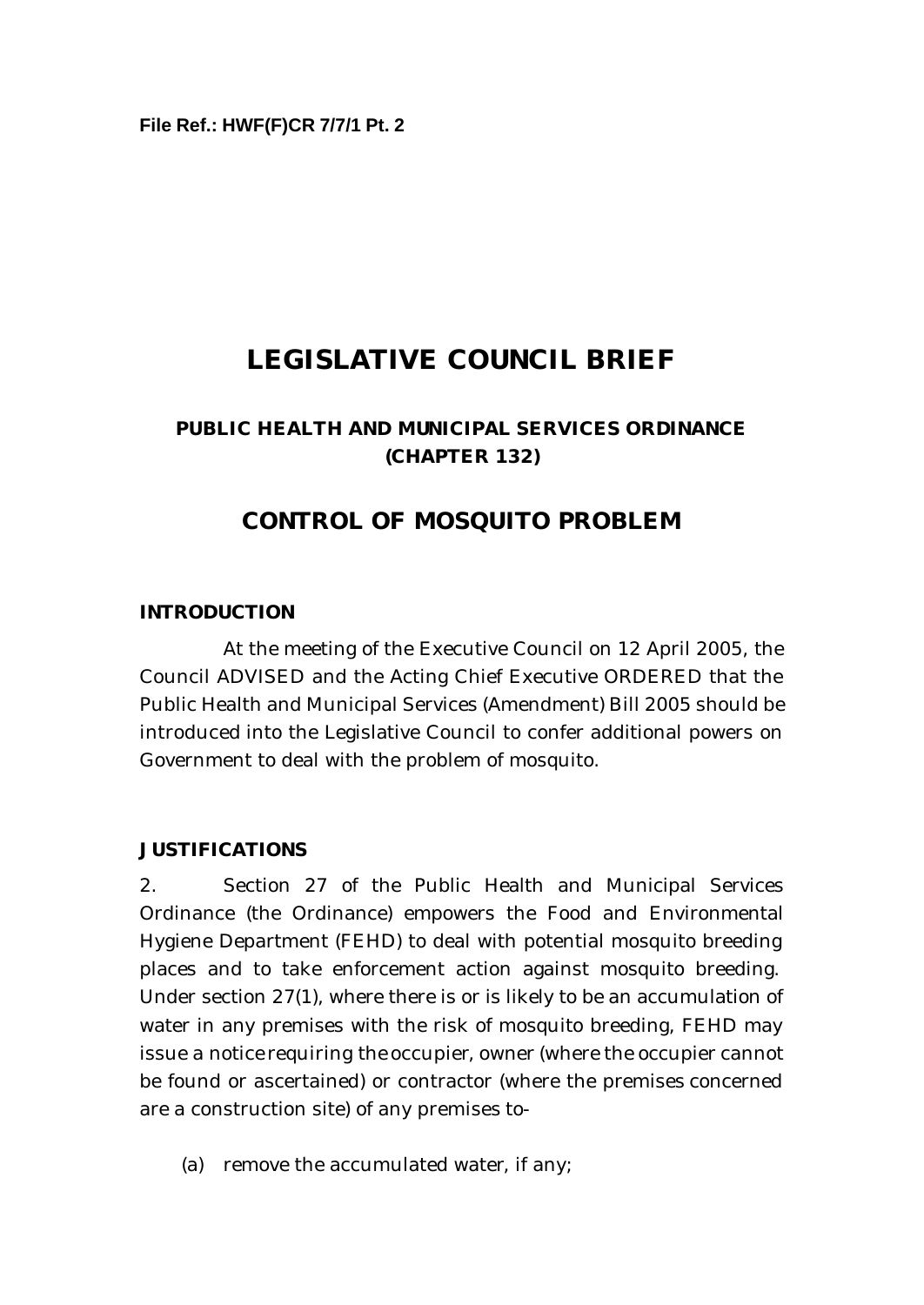# **LEGISLATIVE COUNCIL BRIEF**

## **PUBLIC HEALTH AND MUNICIPAL SERVICES ORDINANCE (CHAPTER 132)**

## **CONTROL OF MOSQUITO PROBLEM**

#### **INTRODUCTION**

At the meeting of the Executive Council on 12 April 2005, the Council ADVISED and the Acting Chief Executive ORDERED that the Public Health and Municipal Services (Amendment) Bill 2005 should be introduced into the Legislative Council to confer additional powers on Government to deal with the problem of mosquito.

#### **JUSTIFICATIONS**

2. Section 27 of the Public Health and Municipal Services Ordinance (the Ordinance) empowers the Food and Environmental Hygiene Department (FEHD) to deal with potential mosquito breeding places and to take enforcement action against mosquito breeding. Under section 27(1), where there is or is likely to be an accumulation of water in any premises with the risk of mosquito breeding, FEHD may issue a notice requiring the occupier, owner (where the occupier cannot be found or ascertained) or contractor (where the premises concerned are a construction site) of any premises to-

(a) remove the accumulated water, if any;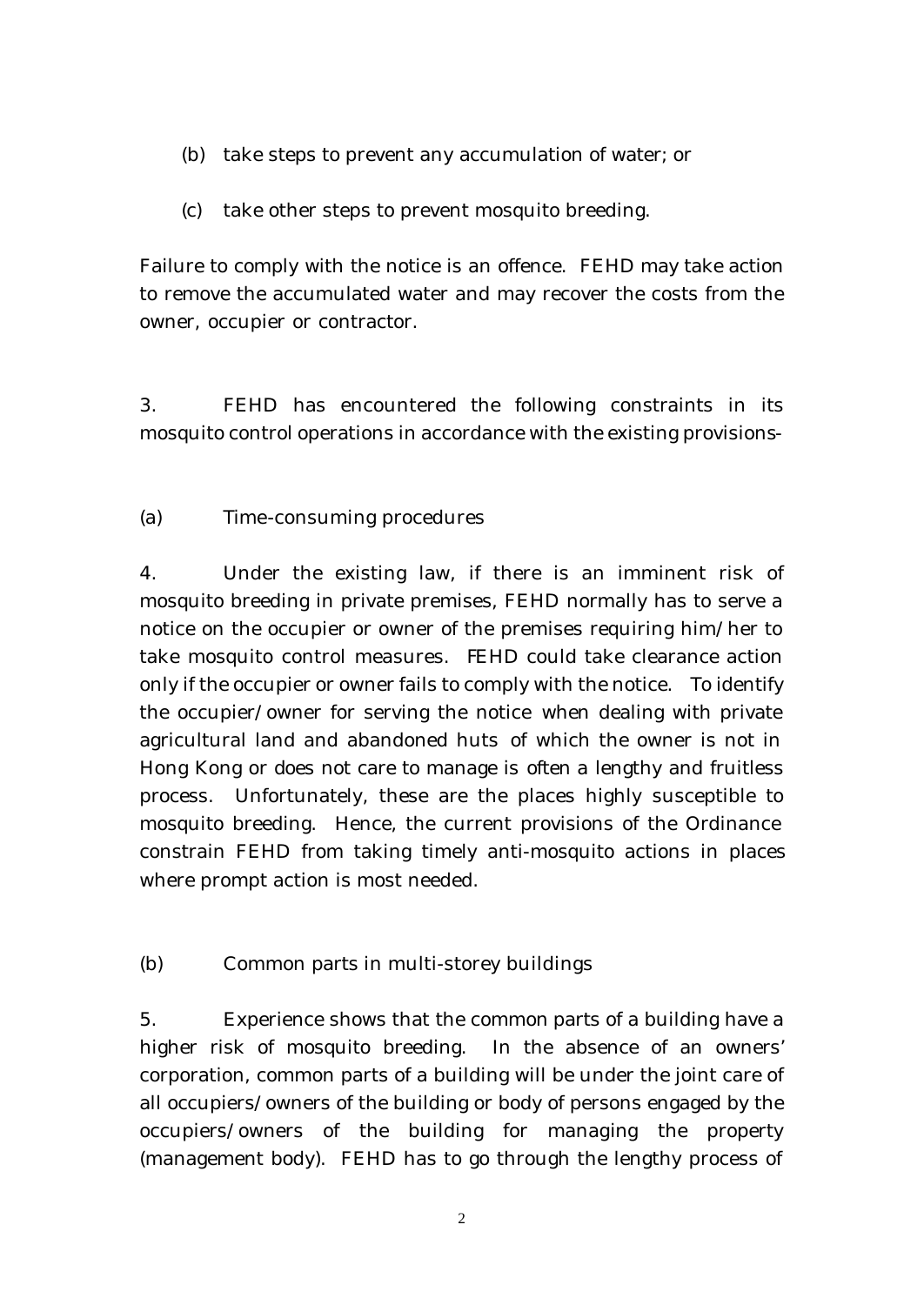- (b) take steps to prevent any accumulation of water; or
- (c) take other steps to prevent mosquito breeding.

Failure to comply with the notice is an offence. FEHD may take action to remove the accumulated water and may recover the costs from the owner, occupier or contractor.

3. FEHD has encountered the following constraints in its mosquito control operations in accordance with the existing provisions-

(a) Time-consuming procedures

4. Under the existing law, if there is an imminent risk of mosquito breeding in private premises, FEHD normally has to serve a notice on the occupier or owner of the premises requiring him/her to take mosquito control measures. FEHD could take clearance action only if the occupier or owner fails to comply with the notice. To identify the occupier/owner for serving the notice when dealing with private agricultural land and abandoned huts of which the owner is not in Hong Kong or does not care to manage is often a lengthy and fruitless process. Unfortunately, these are the places highly susceptible to mosquito breeding. Hence, the current provisions of the Ordinance constrain FEHD from taking timely anti-mosquito actions in places where prompt action is most needed.

(b) Common parts in multi-storey buildings

5. Experience shows that the common parts of a building have a higher risk of mosquito breeding. In the absence of an owners' corporation, common parts of a building will be under the joint care of all occupiers/owners of the building or body of persons engaged by the occupiers/owners of the building for managing the property (management body). FEHD has to go through the lengthy process of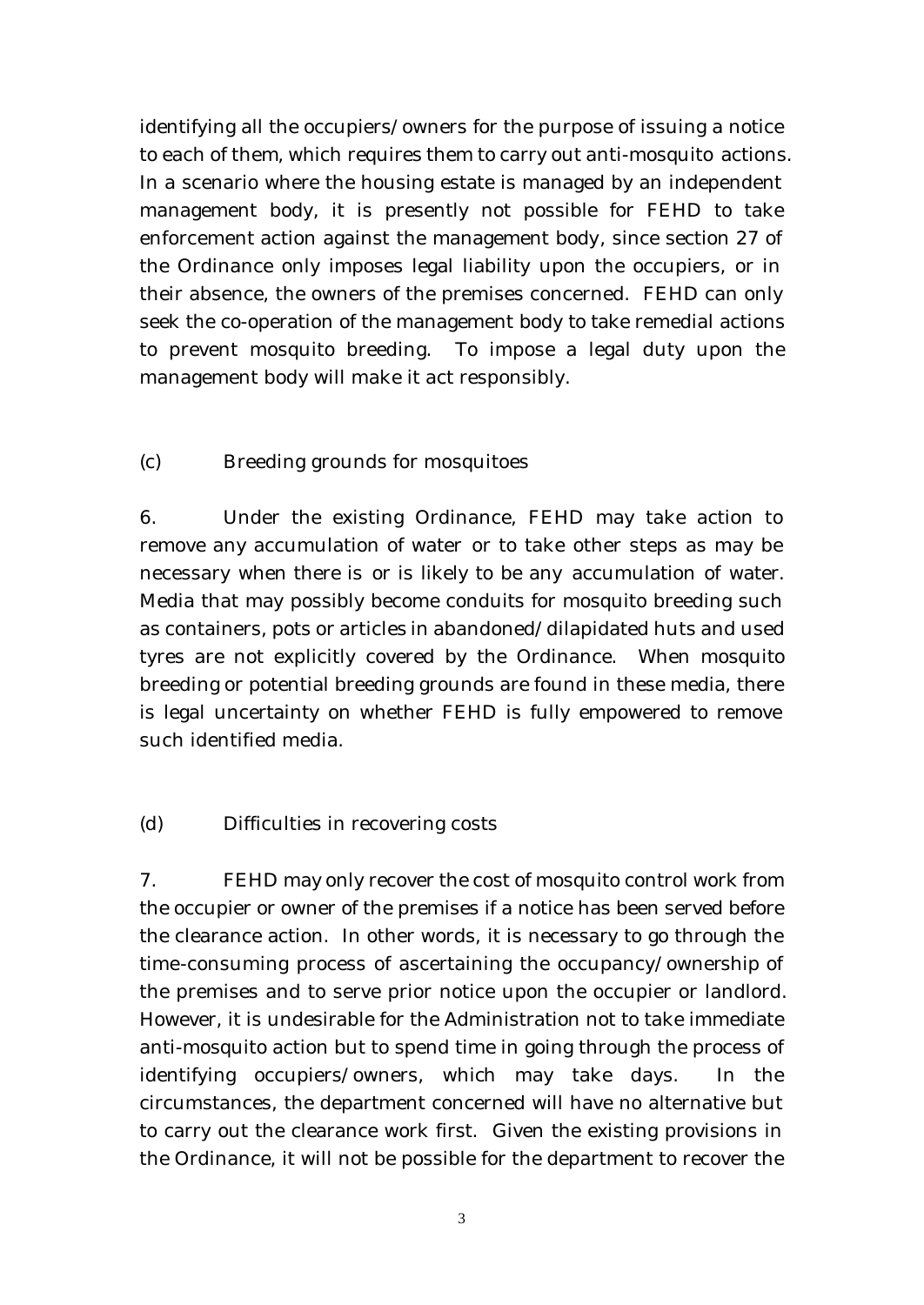identifying all the occupiers/owners for the purpose of issuing a notice to each of them, which requires them to carry out anti-mosquito actions. In a scenario where the housing estate is managed by an independent management body, it is presently not possible for FEHD to take enforcement action against the management body, since section 27 of the Ordinance only imposes legal liability upon the occupiers, or in their absence, the owners of the premises concerned. FEHD can only seek the co-operation of the management body to take remedial actions to prevent mosquito breeding. To impose a legal duty upon the management body will make it act responsibly.

### (c) Breeding grounds for mosquitoes

6. Under the existing Ordinance, FEHD may take action to remove any accumulation of water or to take other steps as may be necessary when there is or is likely to be any accumulation of water. Media that may possibly become conduits for mosquito breeding such as containers, pots or articles in abandoned/dilapidated huts and used tyres are not explicitly covered by the Ordinance. When mosquito breeding or potential breeding grounds are found in these media, there is legal uncertainty on whether FEHD is fully empowered to remove such identified media.

#### (d) Difficulties in recovering costs

7. FEHD may only recover the cost of mosquito control work from the occupier or owner of the premises if a notice has been served before the clearance action. In other words, it is necessary to go through the time-consuming process of ascertaining the occupancy/ownership of the premises and to serve prior notice upon the occupier or landlord. However, it is undesirable for the Administration not to take immediate anti-mosquito action but to spend time in going through the process of identifying occupiers/owners, which may take days. In the circumstances, the department concerned will have no alternative but to carry out the clearance work first. Given the existing provisions in the Ordinance, it will not be possible for the department to recover the

3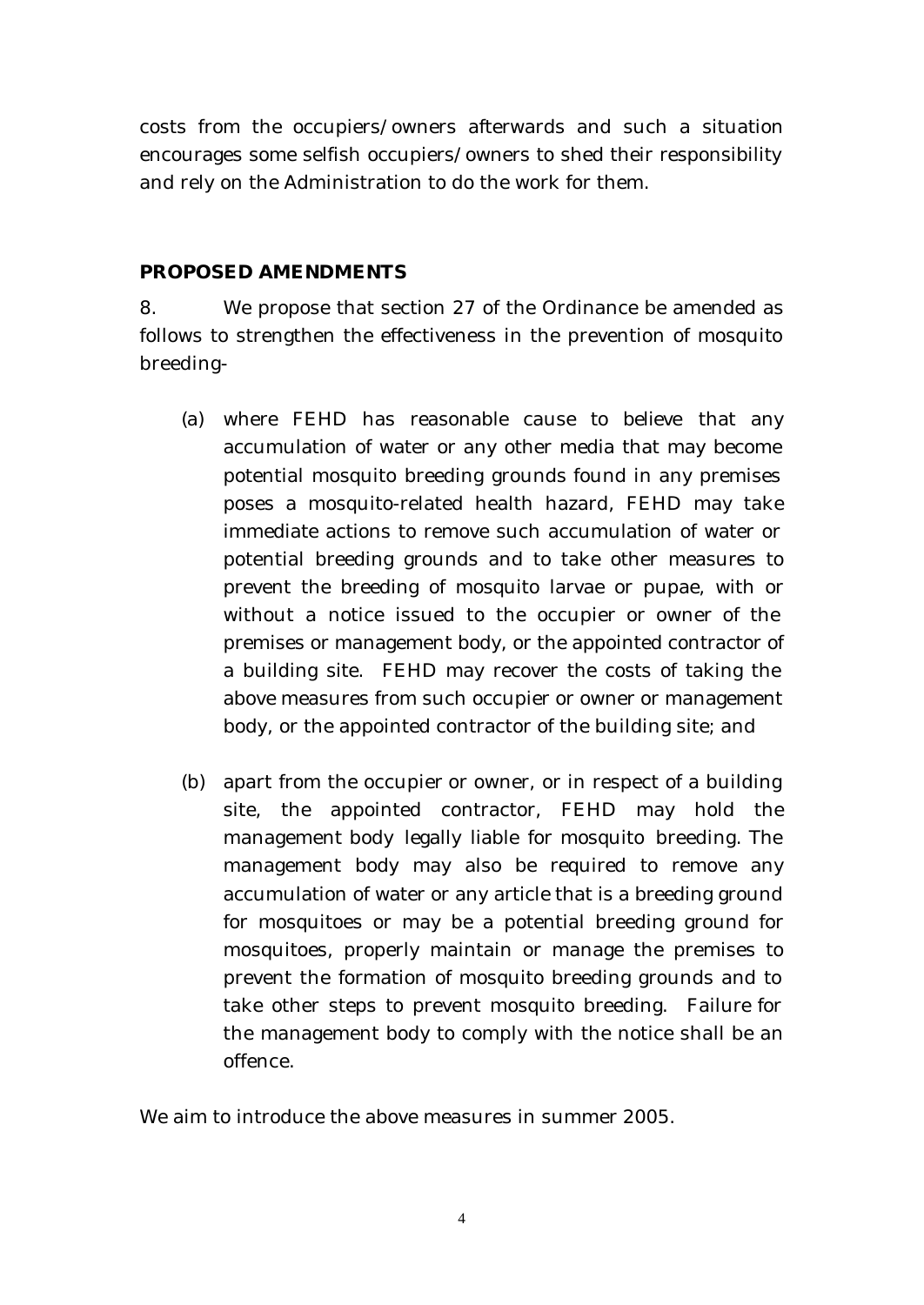costs from the occupiers/owners afterwards and such a situation encourages some selfish occupiers/owners to shed their responsibility and rely on the Administration to do the work for them.

#### **PROPOSED AMENDMENTS**

8. We propose that section 27 of the Ordinance be amended as follows to strengthen the effectiveness in the prevention of mosquito breeding-

- (a) where FEHD has reasonable cause to believe that any accumulation of water or any other media that may become potential mosquito breeding grounds found in any premises poses a mosquito-related health hazard, FEHD may take immediate actions to remove such accumulation of water or potential breeding grounds and to take other measures to prevent the breeding of mosquito larvae or pupae, with or without a notice issued to the occupier or owner of the premises or management body, or the appointed contractor of a building site. FEHD may recover the costs of taking the above measures from such occupier or owner or management body, or the appointed contractor of the building site; and
- (b) apart from the occupier or owner, or in respect of a building site, the appointed contractor, FEHD may hold the management body legally liable for mosquito breeding. The management body may also be required to remove any accumulation of water or any article that is a breeding ground for mosquitoes or may be a potential breeding ground for mosquitoes, properly maintain or manage the premises to prevent the formation of mosquito breeding grounds and to take other steps to prevent mosquito breeding. Failure for the management body to comply with the notice shall be an offence.

We aim to introduce the above measures in summer 2005.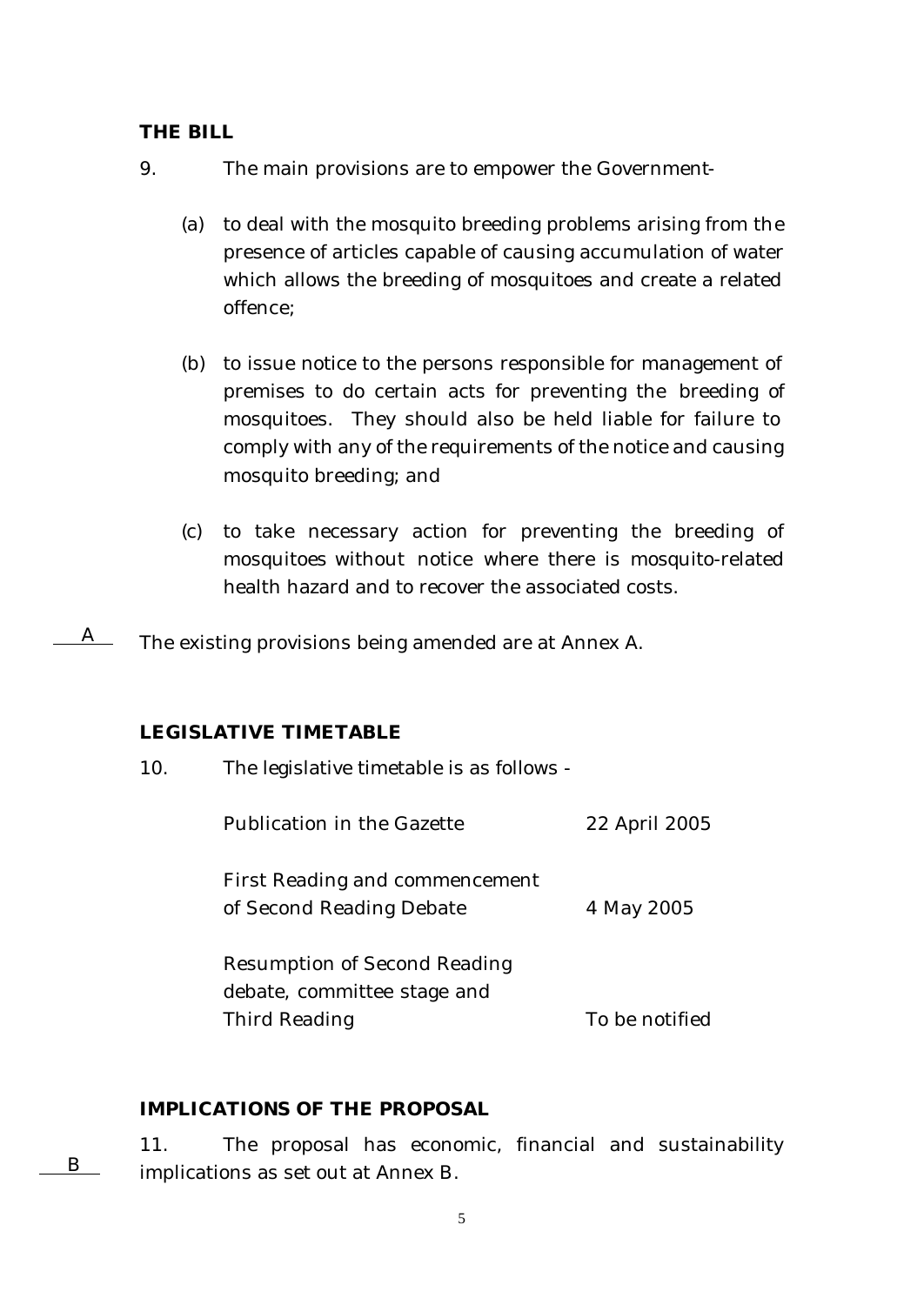#### **THE BILL**

- 9. The main provisions are to empower the Government-
	- (a) to deal with the mosquito breeding problems arising from the presence of articles capable of causing accumulation of water which allows the breeding of mosquitoes and create a related offence;
	- (b) to issue notice to the persons responsible for management of premises to do certain acts for preventing the breeding of mosquitoes. They should also be held liable for failure to comply with any of the requirements of the notice and causing mosquito breeding; and
	- (c) to take necessary action for preventing the breeding of mosquitoes without notice where there is mosquito-related health hazard and to recover the associated costs.

The existing provisions being amended are at Annex A.  $A$ 

#### **LEGISLATIVE TIMETABLE**

| 10. | The legislative timetable is as follows -                                           |                |
|-----|-------------------------------------------------------------------------------------|----------------|
|     | Publication in the Gazette                                                          | 22 April 2005  |
|     | First Reading and commencement<br>of Second Reading Debate                          | 4 May 2005     |
|     | <b>Resumption of Second Reading</b><br>debate, committee stage and<br>Third Reading | To be notified |
|     |                                                                                     |                |

#### **IMPLICATIONS OF THE PROPOSAL**

11. The proposal has economic, financial and sustainability implications as set out at Annex B. B

5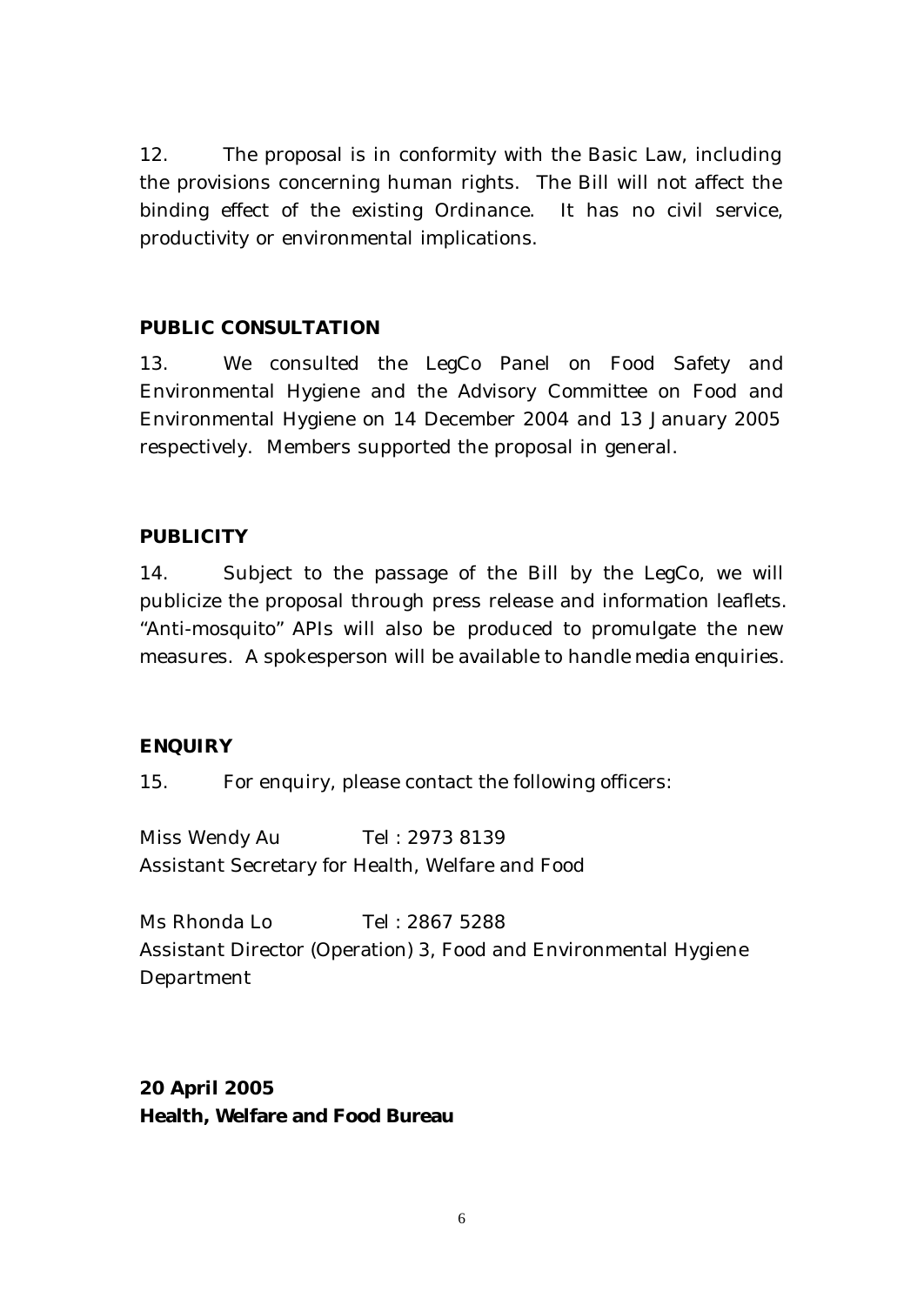12. The proposal is in conformity with the Basic Law, including the provisions concerning human rights. The Bill will not affect the binding effect of the existing Ordinance. It has no civil service, productivity or environmental implications.

### **PUBLIC CONSULTATION**

13. We consulted the LegCo Panel on Food Safety and Environmental Hygiene and the Advisory Committee on Food and Environmental Hygiene on 14 December 2004 and 13 January 2005 respectively. Members supported the proposal in general.

### **PUBLICITY**

14. Subject to the passage of the Bill by the LegCo, we will publicize the proposal through press release and information leaflets. "Anti-mosquito" APIs will also be produced to promulgate the new measures. A spokesperson will be available to handle media enquiries.

#### **ENQUIRY**

15. For enquiry, please contact the following officers:

Miss Wendy Au Tel : 2973 8139 Assistant Secretary for Health, Welfare and Food

Ms Rhonda Lo Tel : 2867 5288 Assistant Director (Operation) 3, Food and Environmental Hygiene Department

## **20 April 2005 Health, Welfare and Food Bureau**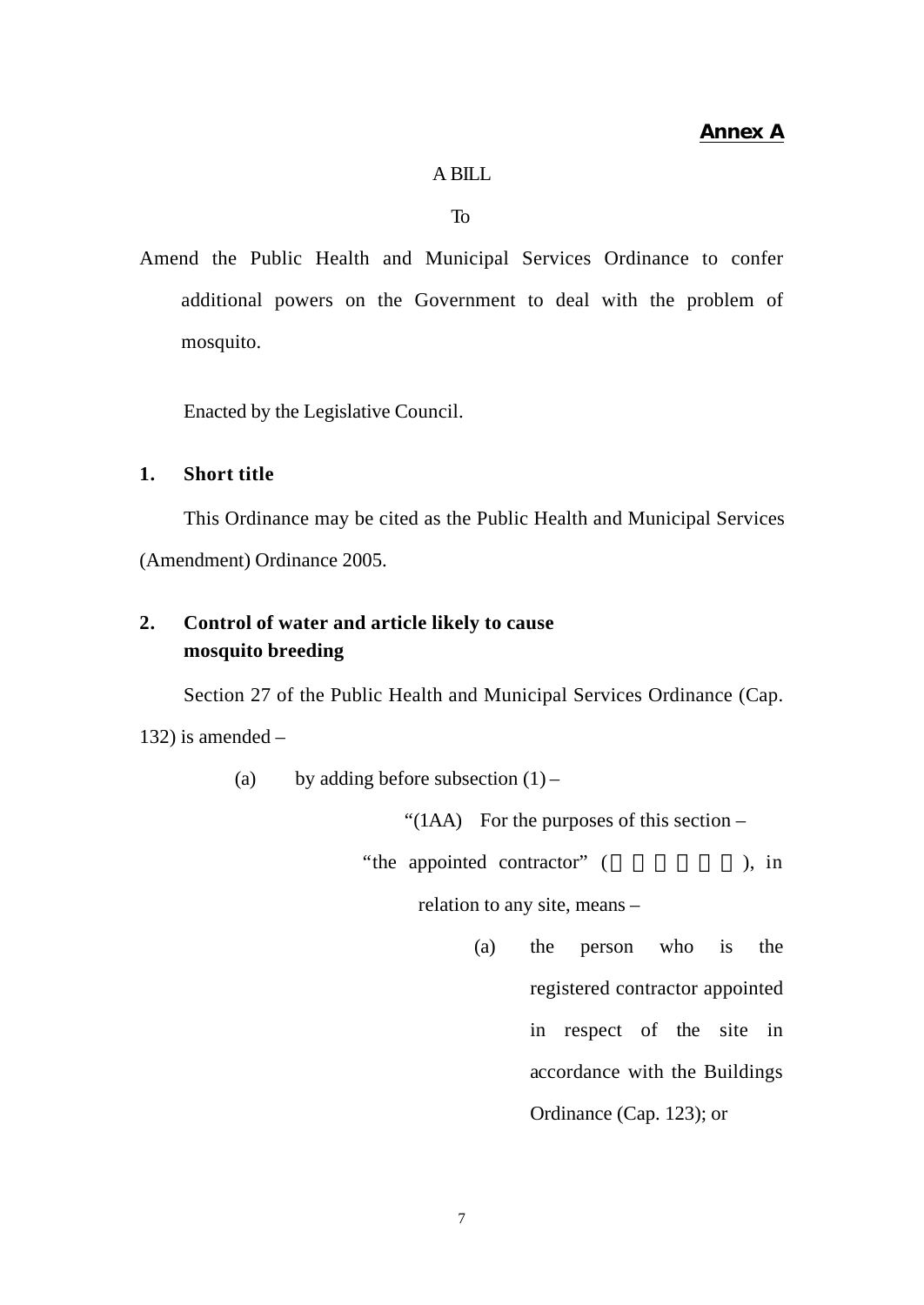#### A BILL

To

Amend the Public Health and Municipal Services Ordinance to confer additional powers on the Government to deal with the problem of mosquito.

Enacted by the Legislative Council.

#### **1. Short title**

This Ordinance may be cited as the Public Health and Municipal Services (Amendment) Ordinance 2005.

## **2. Control of water and article likely to cause mosquito breeding**

Section 27 of the Public Health and Municipal Services Ordinance (Cap.

132) is amended  $-$ 

(a) by adding before subsection  $(1)$  –

"( $1AA$ ) For the purposes of this section –

"the appointed contractor" (
), in

relation to any site, means –

(a) the person who is the registered contractor appointed in respect of the site in accordance with the Buildings Ordinance (Cap. 123); or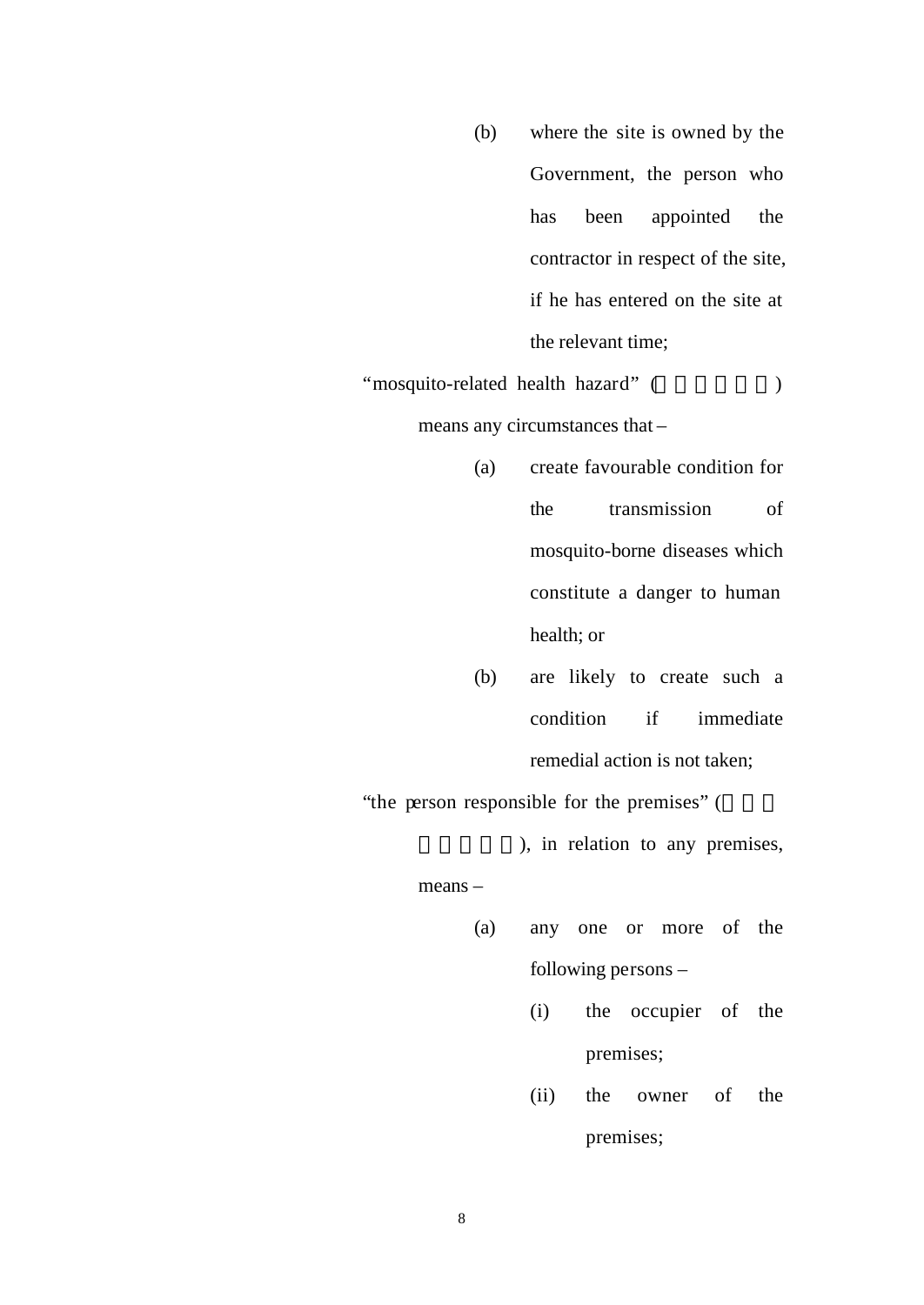(b) where the site is owned by the Government, the person who has been appointed the contractor in respect of the site, if he has entered on the site at the relevant time;

"mosquito-related health hazard" (
) means any circumstances that –

- (a) create favourable condition for the transmission of mosquito-borne diseases which constitute a danger to human health; or
- (b) are likely to create such a condition if immediate remedial action is not taken;

"the person responsible for the premises" (

), in relation to any premises,

means –

- (a) any one or more of the following persons –
	- (i) the occupier of the premises;
	- (ii) the owner of the premises;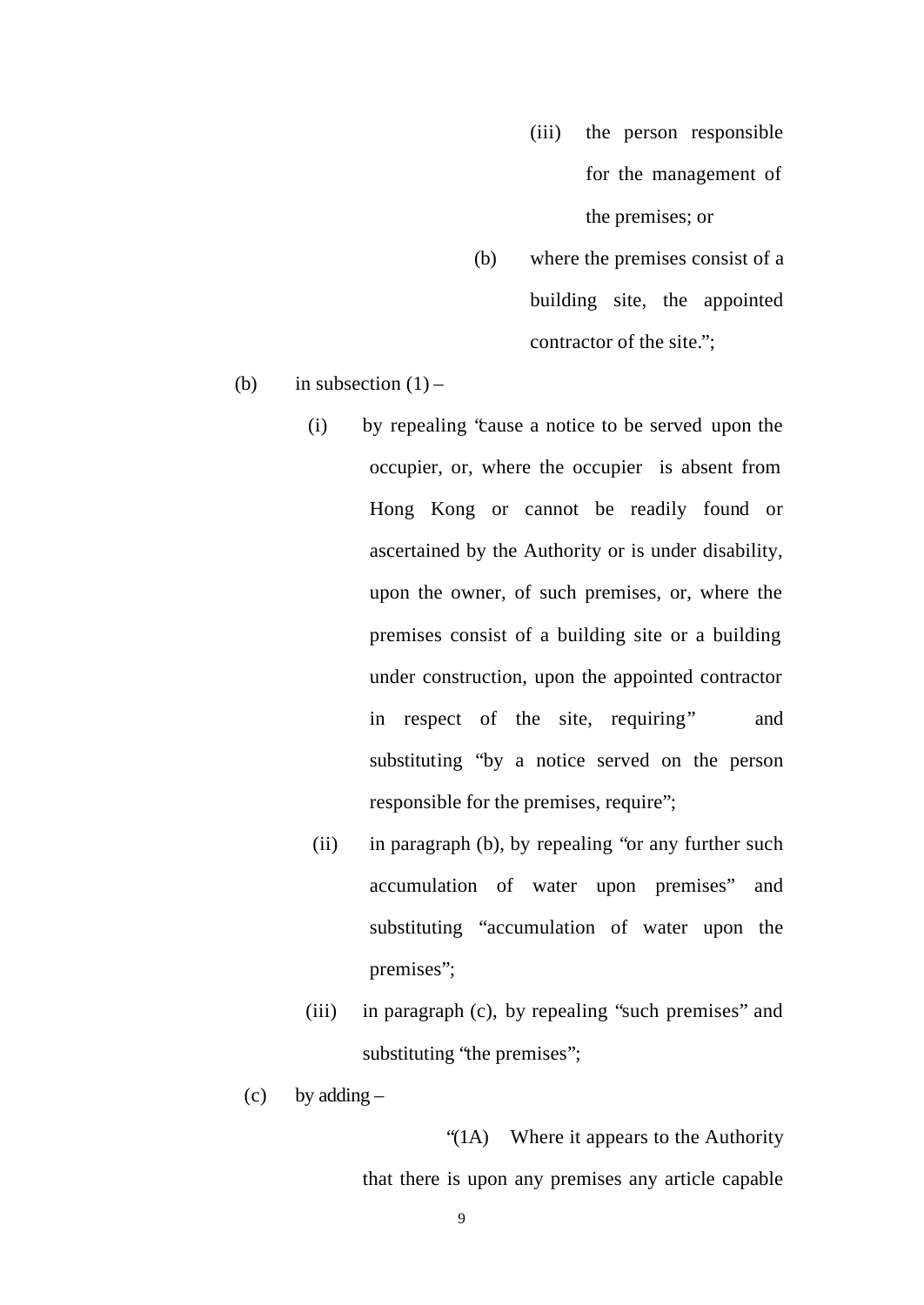- (iii) the person responsible for the management of the premises; or
- (b) where the premises consist of a building site, the appointed contractor of the site.";
- (b) in subsection  $(1)$ 
	- (i) by repealing "cause a notice to be served upon the occupier, or, where the occupier is absent from Hong Kong or cannot be readily found or ascertained by the Authority or is under disability, upon the owner, of such premises, or, where the premises consist of a building site or a building under construction, upon the appointed contractor in respect of the site, requiring" and substituting "by a notice served on the person responsible for the premises, require";
	- (ii) in paragraph (b), by repealing "or any further such accumulation of water upon premises" and substituting "accumulation of water upon the premises";
	- (iii) in paragraph (c), by repealing "such premises" and substituting "the premises";
	- $(c)$  by adding –

 "(1A) Where it appears to the Authority that there is upon any premises any article capable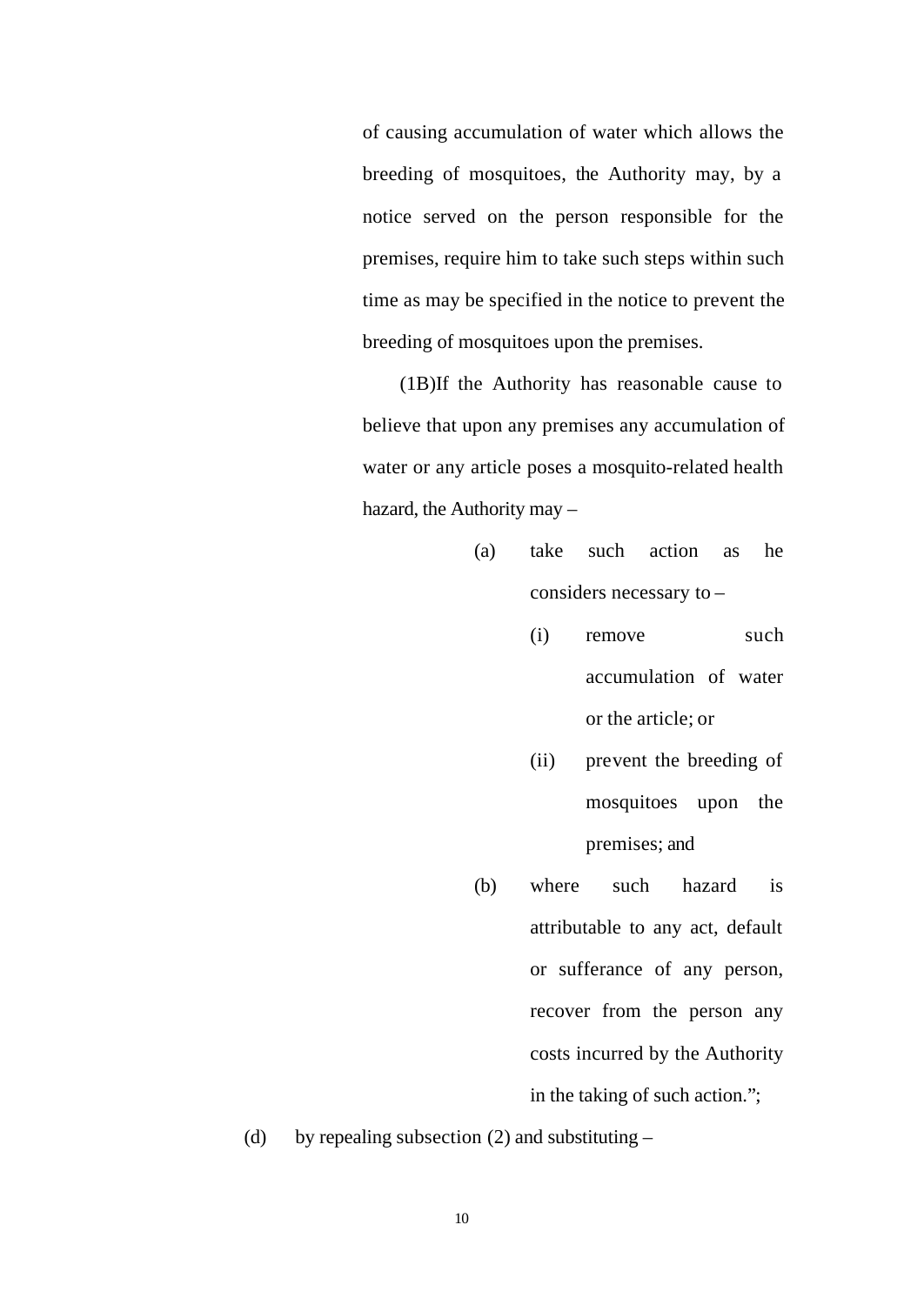of causing accumulation of water which allows the breeding of mosquitoes, the Authority may, by a notice served on the person responsible for the premises, require him to take such steps within such time as may be specified in the notice to prevent the breeding of mosquitoes upon the premises.

(1B)If the Authority has reasonable cause to believe that upon any premises any accumulation of water or any article poses a mosquito-related health hazard, the Authority may –

- (a) take such action as he considers necessary to –
	- (i) remove such accumulation of water or the article; or
	- (ii) prevent the breeding of mosquitoes upon the premises; and
- (b) where such hazard is attributable to any act, default or sufferance of any person, recover from the person any costs incurred by the Authority in the taking of such action.";
- (d) by repealing subsection (2) and substituting  $-$

10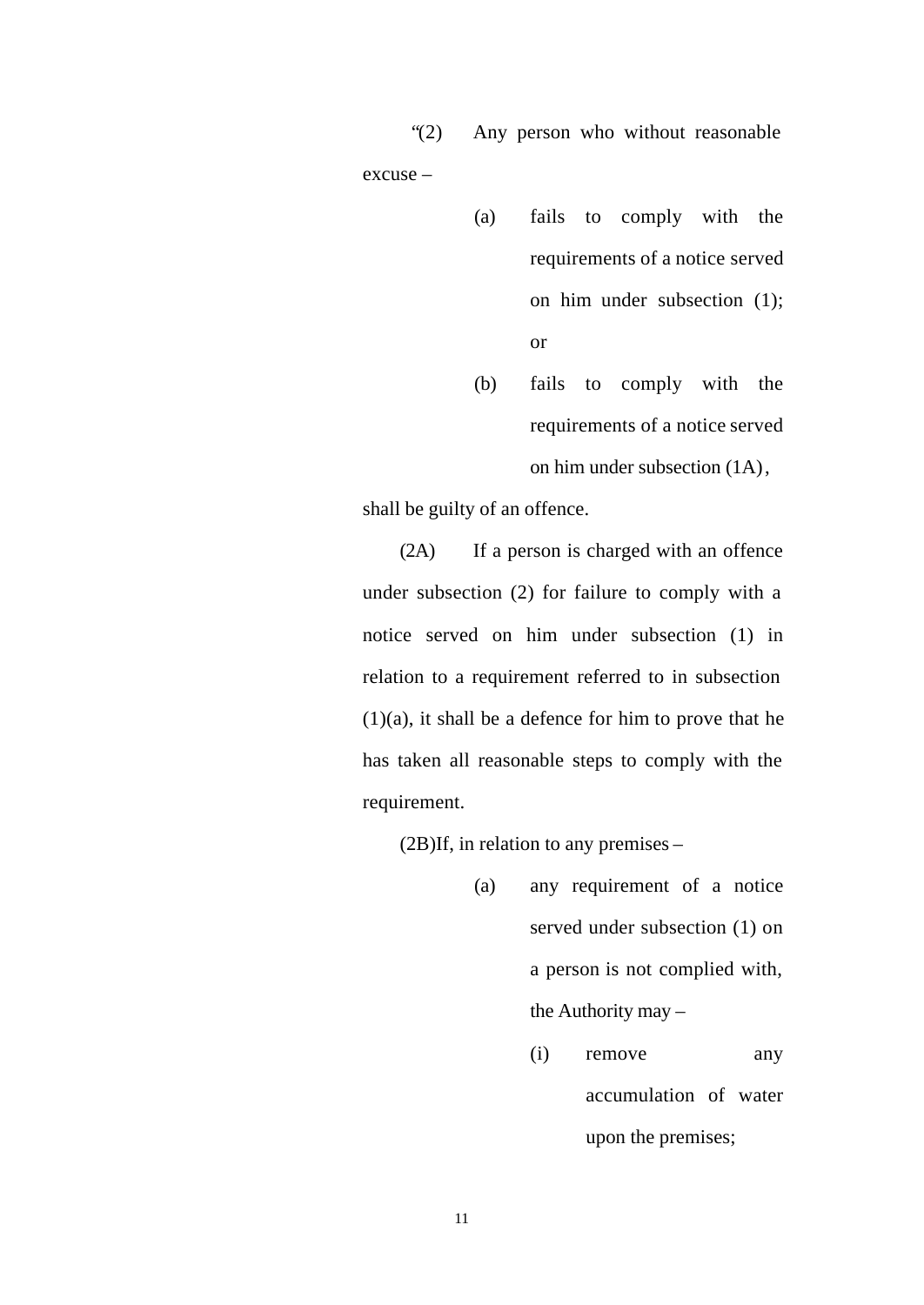"(2) Any person who without reasonable excuse –

- (a) fails to comply with the requirements of a notice served on him under subsection (1); or
- (b) fails to comply with the requirements of a notice served on him under subsection (1A),

shall be guilty of an offence.

(2A) If a person is charged with an offence under subsection (2) for failure to comply with a notice served on him under subsection (1) in relation to a requirement referred to in subsection  $(1)(a)$ , it shall be a defence for him to prove that he has taken all reasonable steps to comply with the requirement.

(2B)If, in relation to any premises –

- (a) any requirement of a notice served under subsection (1) on a person is not complied with, the Authority may –
	- (i) remove any accumulation of water upon the premises;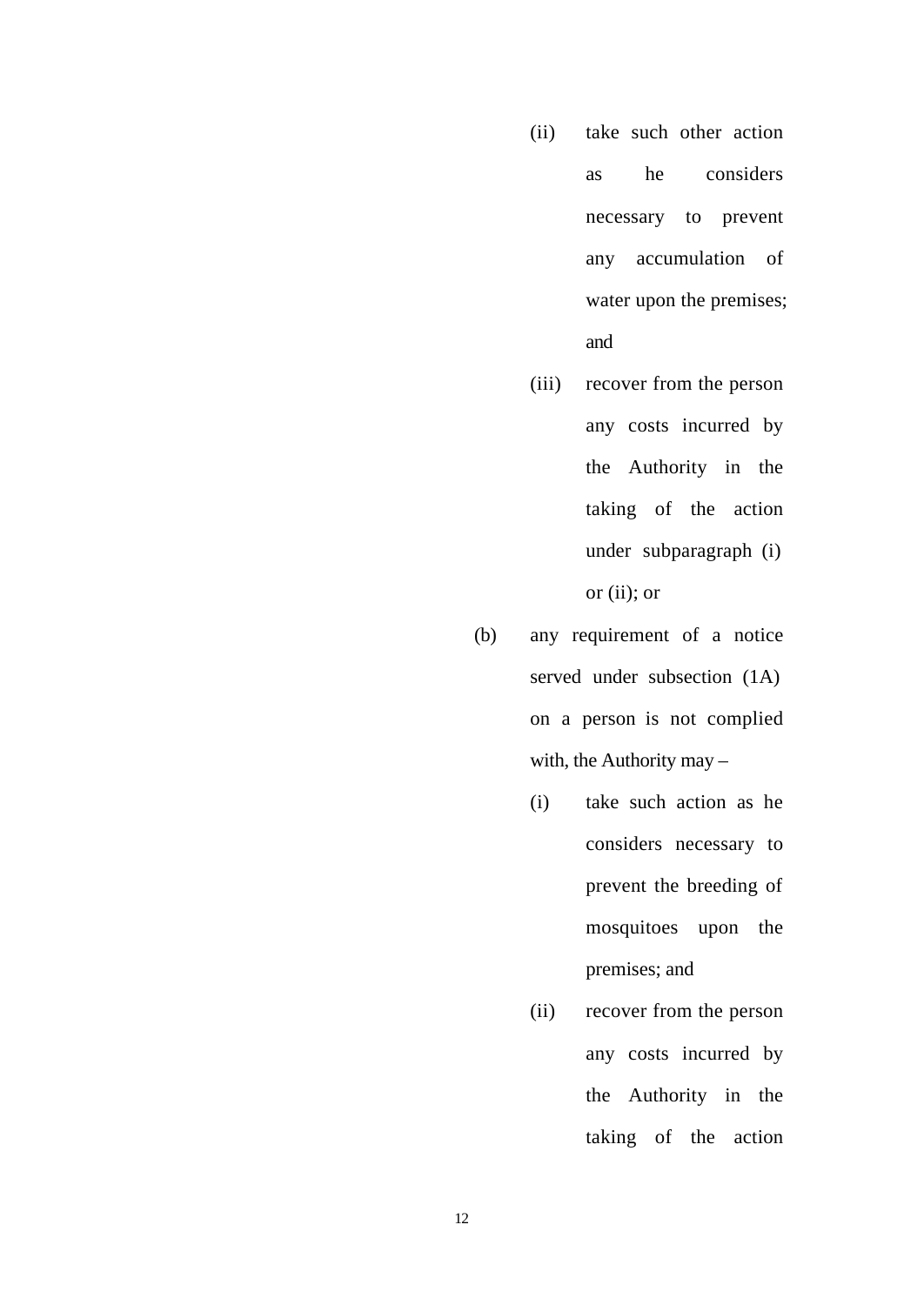- (ii) take such other action as he considers necessary to prevent any accumulation of water upon the premises; and
- (iii) recover from the person any costs incurred by the Authority in the taking of the action under subparagraph (i) or (ii); or
- (b) any requirement of a notice served under subsection (1A) on a person is not complied with, the Authority may –
	- (i) take such action as he considers necessary to prevent the breeding of mosquitoes upon the premises; and
	- (ii) recover from the person any costs incurred by the Authority in the taking of the action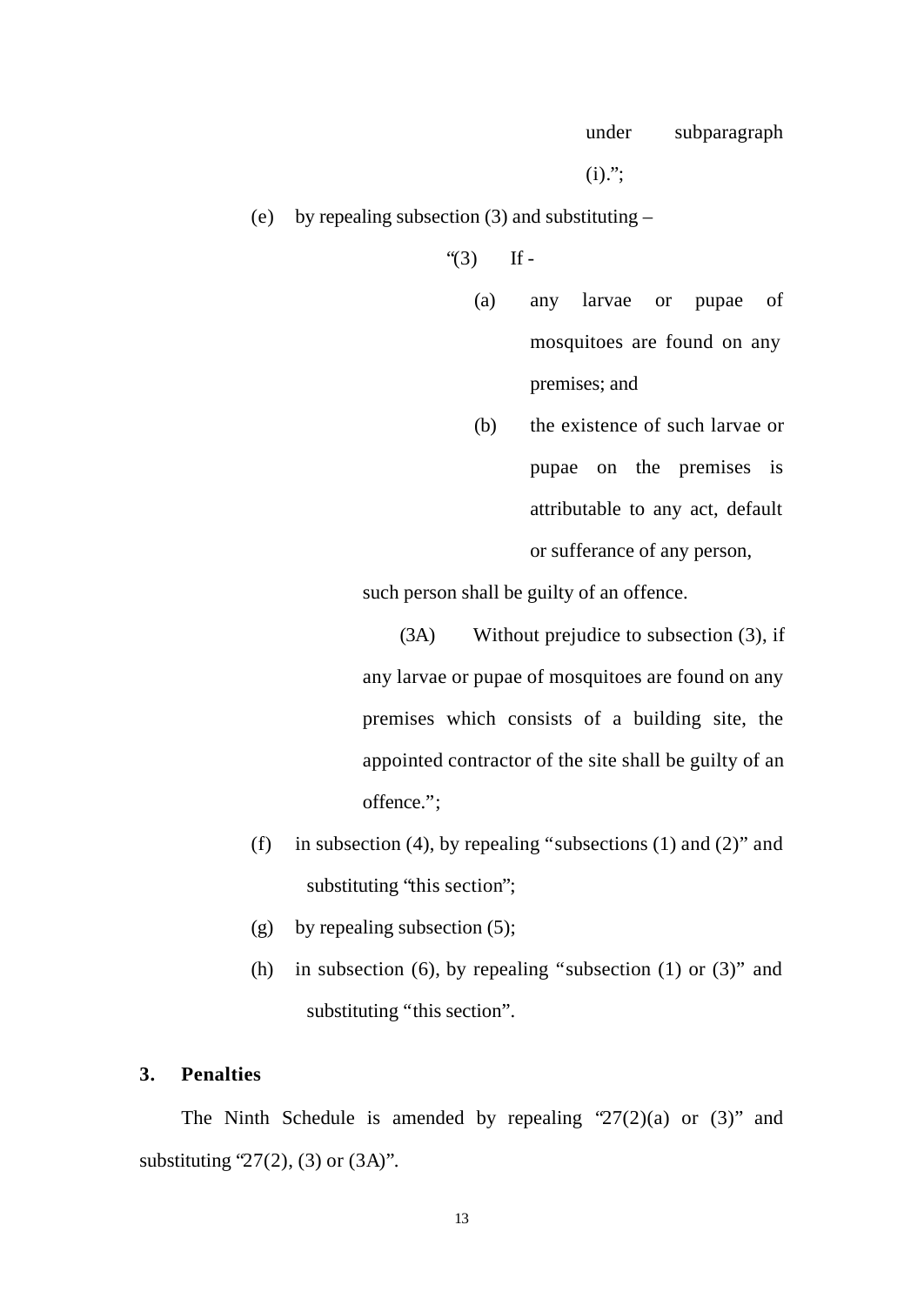$(i)$ .";

(e) by repealing subsection (3) and substituting –

" $(3)$  If -

- (a) any larvae or pupae of mosquitoes are found on any premises; and
- (b) the existence of such larvae or pupae on the premises is attributable to any act, default or sufferance of any person,

such person shall be guilty of an offence.

(3A) Without prejudice to subsection (3), if any larvae or pupae of mosquitoes are found on any premises which consists of a building site, the appointed contractor of the site shall be guilty of an offence.";

- (f) in subsection (4), by repealing "subsections (1) and (2)" and substituting "this section";
- (g) by repealing subsection  $(5)$ ;
- (h) in subsection (6), by repealing "subsection (1) or  $(3)$ " and substituting "this section".

#### **3. Penalties**

The Ninth Schedule is amended by repealing  $27(2)(a)$  or  $(3)$ " and substituting  $27(2)$ , (3) or (3A)".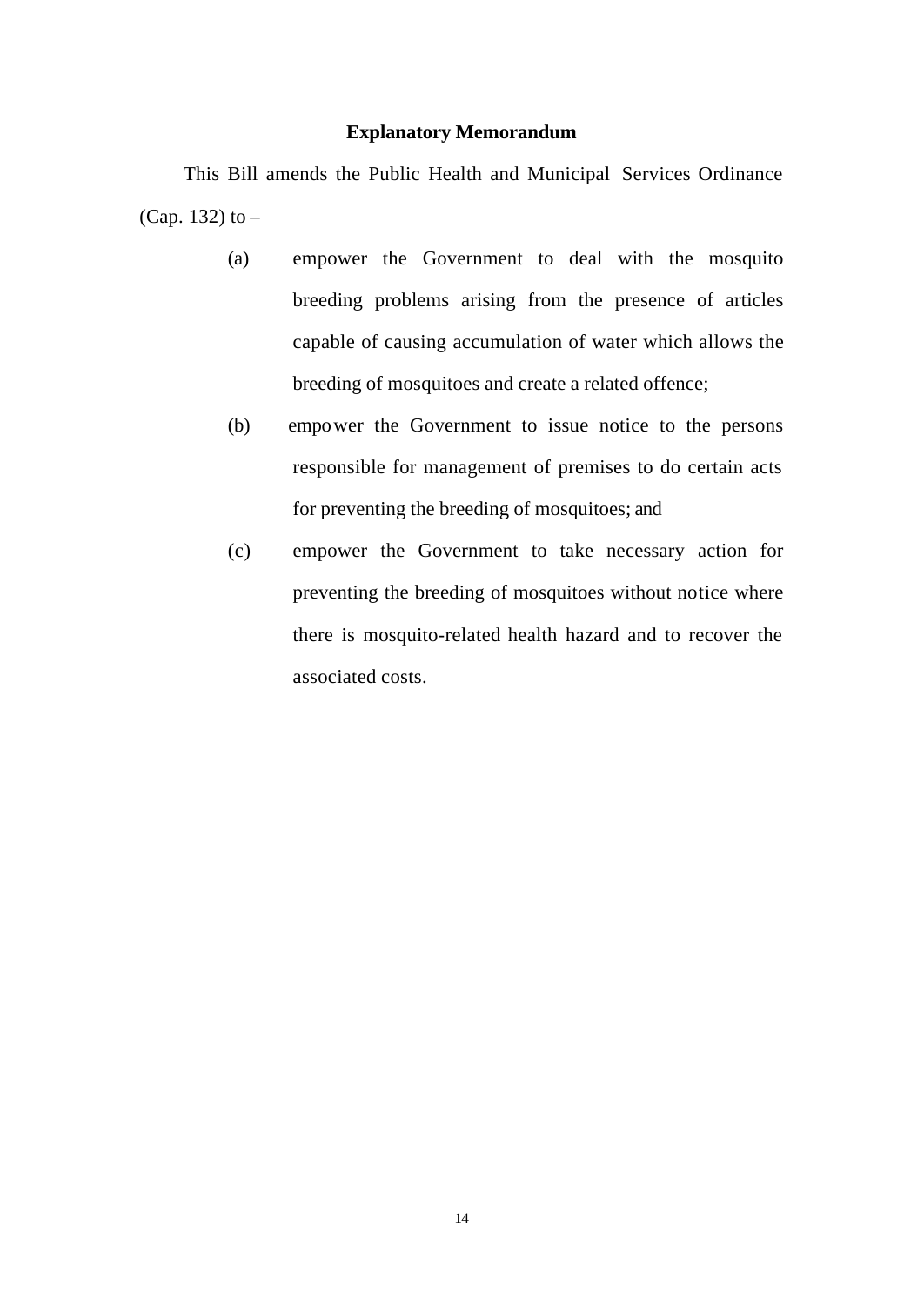#### **Explanatory Memorandum**

This Bill amends the Public Health and Municipal Services Ordinance (Cap. 132) to –

- (a) empower the Government to deal with the mosquito breeding problems arising from the presence of articles capable of causing accumulation of water which allows the breeding of mosquitoes and create a related offence;
- (b) empower the Government to issue notice to the persons responsible for management of premises to do certain acts for preventing the breeding of mosquitoes; and
- (c) empower the Government to take necessary action for preventing the breeding of mosquitoes without notice where there is mosquito-related health hazard and to recover the associated costs.